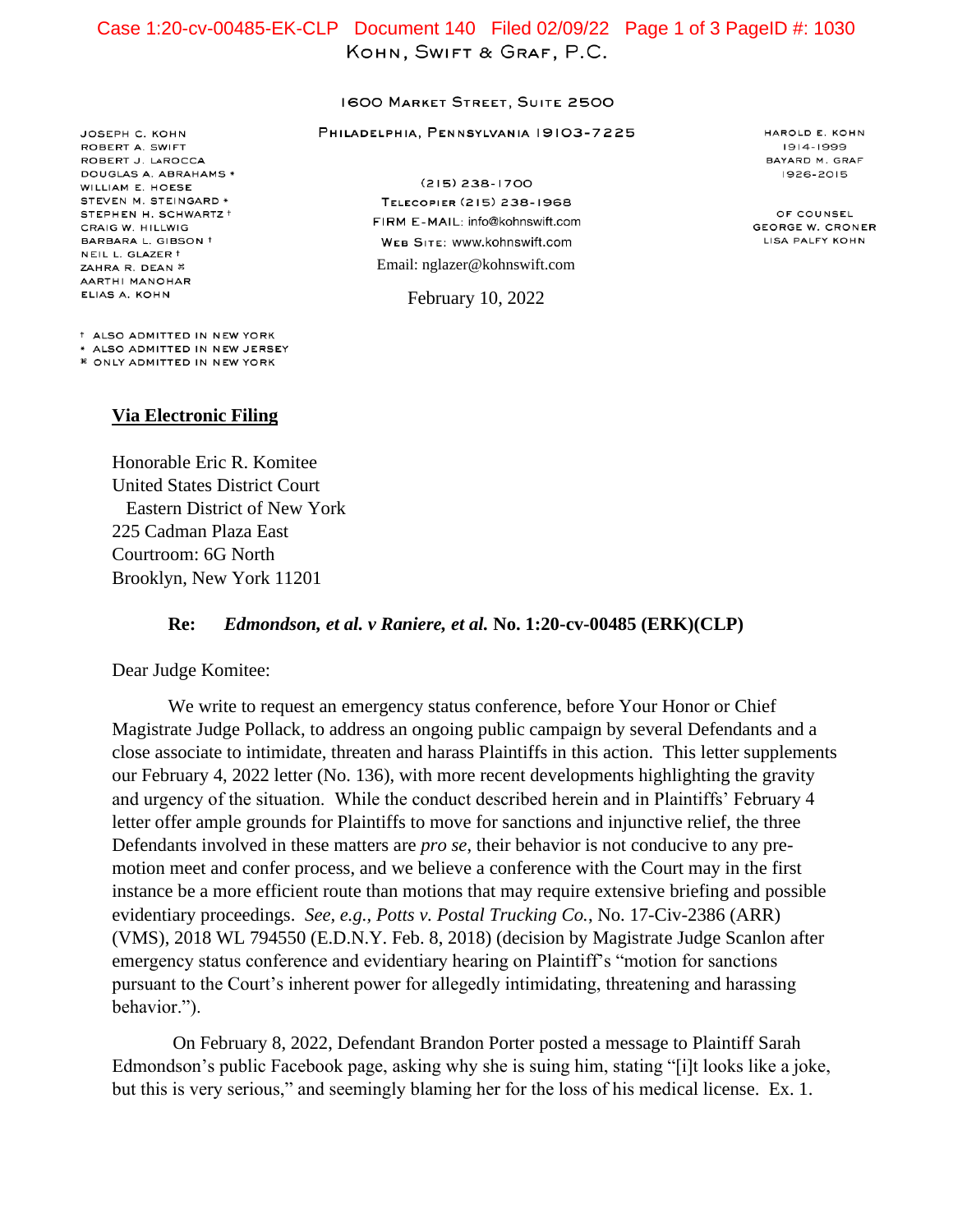## $K_{\text{max}}$ , Swift and Eric R. Komite Case 1:20-cv-00485-EK-CLP Document 140 Filed 02/09/22 Page 1 of 3 PageID #: 1030

## **1600 MARKET STREET, SUITE 2500**

PHILADELPHIA, PENNSYLVANIA 19103-7225

JOSEPH C. KOHN ROBERT A. SWIFT ROBERT J. LAROCCA DOUGLAS A. ABRAHAMS \* WILLIAM E. HOESE STEVEN M. STEINGARD \* STEPHEN H. SCHWARTZ + CRAIG W. HILLWIG BARBARA L. GIBSON + NEIL L. GLAZER † ZAHRA R. DEAN \* AARTHI MANOHAR ELIAS A. KOHN

 $(215)$  238-1700 TELECOPIER (215) 238-1968 FIRM E-MAIL: info@kohnswift.com WEB SITE: WWW.kohnswift.com Email: nglazer@kohnswift.com

February 10, 2022

HAROLD E. KOHN 1914-1999 BAYARD M. GRAF 1926-2015

OF COUNSEL **GEORGE W. CRONER** LISA PALFY KOHN

<sup>†</sup> ALSO ADMITTED IN NEW YORK \* ALSO ADMITTED IN NEW JERSEY *\** ONLY ADMITTED IN NEW YORK

## **Via Electronic Filing**

Honorable Eric R. Komitee United States District Court Eastern District of New York 225 Cadman Plaza East Courtroom: 6G North Brooklyn, New York 11201

## **Re:** *Edmondson, et al. v Raniere, et al.* **No. 1:20-cv-00485 (ERK)(CLP)**

Dear Judge Komitee:

We write to request an emergency status conference, before Your Honor or Chief Magistrate Judge Pollack, to address an ongoing public campaign by several Defendants and a close associate to intimidate, threaten and harass Plaintiffs in this action. This letter supplements our February 4, 2022 letter (No. 136), with more recent developments highlighting the gravity and urgency of the situation. While the conduct described herein and in Plaintiffs' February 4 letter offer ample grounds for Plaintiffs to move for sanctions and injunctive relief, the three Defendants involved in these matters are *pro se*, their behavior is not conducive to any premotion meet and confer process, and we believe a conference with the Court may in the first instance be a more efficient route than motions that may require extensive briefing and possible evidentiary proceedings. *See, e.g., Potts v. Postal Trucking Co.*, No. 17-Civ-2386 (ARR) (VMS), 2018 WL 794550 (E.D.N.Y. Feb. 8, 2018) (decision by Magistrate Judge Scanlon after emergency status conference and evidentiary hearing on Plaintiff's "motion for sanctions pursuant to the Court's inherent power for allegedly intimidating, threatening and harassing behavior.").

On February 8, 2022, Defendant Brandon Porter posted a message to Plaintiff Sarah Edmondson's public Facebook page, asking why she is suing him, stating "[i]t looks like a joke, but this is very serious," and seemingly blaming her for the loss of his medical license. Ex. 1.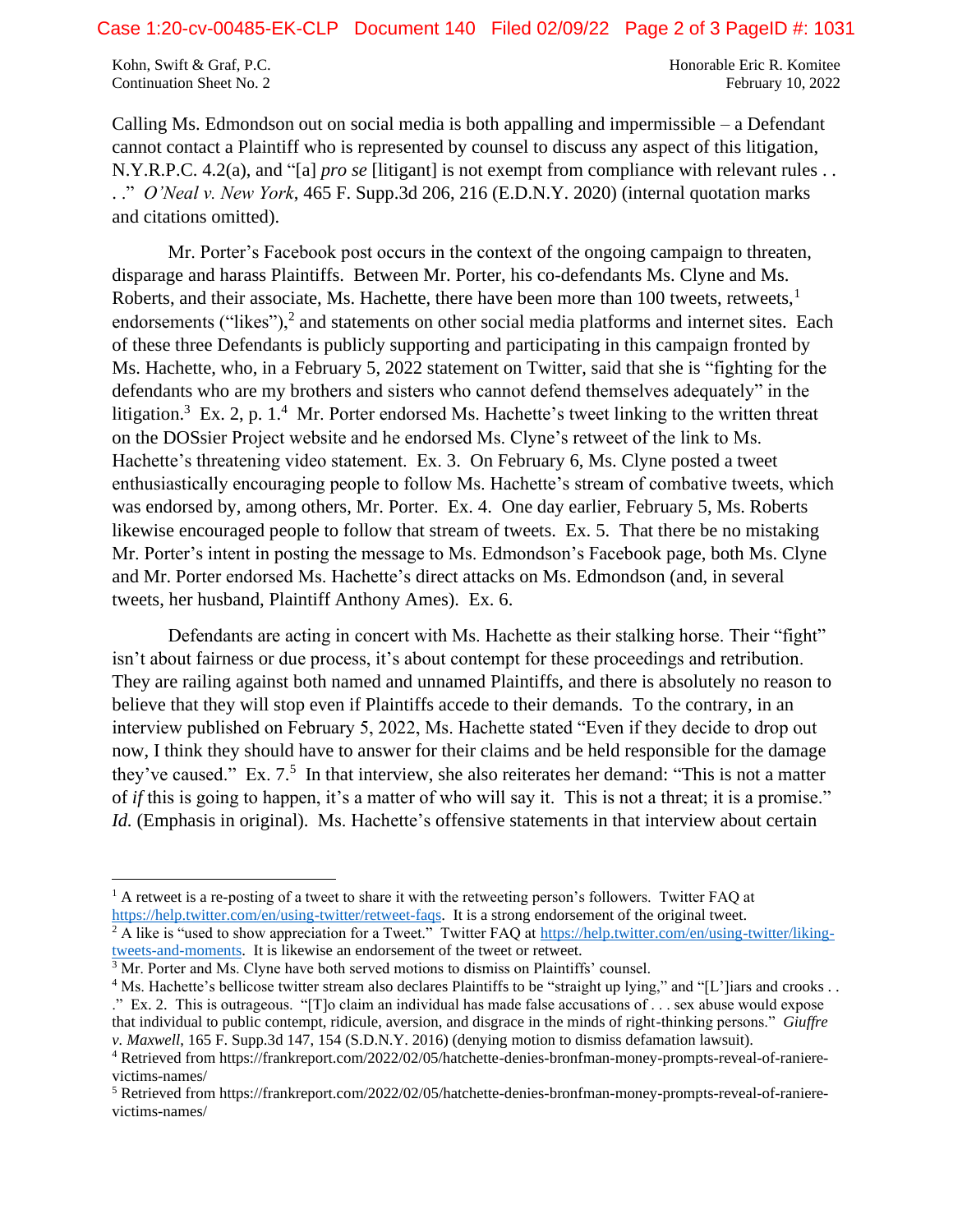Kohn, Swift & Graf, P.C. The Community of the Community of the Honorable Eric R. Komitee Continuation Sheet No. 2 February 10, 2022

Calling Ms. Edmondson out on social media is both appalling and impermissible – a Defendant cannot contact a Plaintiff who is represented by counsel to discuss any aspect of this litigation, N.Y.R.P.C. 4.2(a), and "[a] *pro se* [litigant] is not exempt from compliance with relevant rules . . . ." *O'Neal v. New York*, 465 F. Supp.3d 206, 216 (E.D.N.Y. 2020) (internal quotation marks and citations omitted).

Mr. Porter's Facebook post occurs in the context of the ongoing campaign to threaten, disparage and harass Plaintiffs. Between Mr. Porter, his co-defendants Ms. Clyne and Ms. Roberts, and their associate, Ms. Hachette, there have been more than 100 tweets, retweets, $<sup>1</sup>$ </sup> endorsements ("likes"), $<sup>2</sup>$  and statements on other social media platforms and internet sites. Each</sup> of these three Defendants is publicly supporting and participating in this campaign fronted by Ms. Hachette, who, in a February 5, 2022 statement on Twitter, said that she is "fighting for the defendants who are my brothers and sisters who cannot defend themselves adequately" in the litigation.<sup>3</sup> Ex. 2, p. 1.<sup>4</sup> Mr. Porter endorsed Ms. Hachette's tweet linking to the written threat on the DOSsier Project website and he endorsed Ms. Clyne's retweet of the link to Ms. Hachette's threatening video statement. Ex. 3. On February 6, Ms. Clyne posted a tweet enthusiastically encouraging people to follow Ms. Hachette's stream of combative tweets, which was endorsed by, among others, Mr. Porter. Ex. 4. One day earlier, February 5, Ms. Roberts likewise encouraged people to follow that stream of tweets. Ex. 5. That there be no mistaking Mr. Porter's intent in posting the message to Ms. Edmondson's Facebook page, both Ms. Clyne and Mr. Porter endorsed Ms. Hachette's direct attacks on Ms. Edmondson (and, in several tweets, her husband, Plaintiff Anthony Ames). Ex. 6.

Defendants are acting in concert with Ms. Hachette as their stalking horse. Their "fight" isn't about fairness or due process, it's about contempt for these proceedings and retribution. They are railing against both named and unnamed Plaintiffs, and there is absolutely no reason to believe that they will stop even if Plaintiffs accede to their demands. To the contrary, in an interview published on February 5, 2022, Ms. Hachette stated "Even if they decide to drop out now, I think they should have to answer for their claims and be held responsible for the damage they've caused." Ex. 7.<sup>5</sup> In that interview, she also reiterates her demand: "This is not a matter of *if* this is going to happen, it's a matter of who will say it. This is not a threat; it is a promise." *Id.* (Emphasis in original). Ms. Hachette's offensive statements in that interview about certain

<sup>2</sup> A like is "used to show appreciation for a Tweet." Twitter FAQ at [https://help.twitter.com/en/using-twitter/liking](https://help.twitter.com/en/using-twitter/liking-tweets-and-moments)[tweets-and-moments.](https://help.twitter.com/en/using-twitter/liking-tweets-and-moments) It is likewise an endorsement of the tweet or retweet.

 $<sup>1</sup>$  A retweet is a re-posting of a tweet to share it with the retweeting person's followers. Twitter FAQ at</sup> [https://help.twitter.com/en/using-twitter/retweet-faqs.](https://help.twitter.com/en/using-twitter/retweet-faqs) It is a strong endorsement of the original tweet.

<sup>&</sup>lt;sup>3</sup> Mr. Porter and Ms. Clyne have both served motions to dismiss on Plaintiffs' counsel.

<sup>&</sup>lt;sup>4</sup> Ms. Hachette's bellicose twitter stream also declares Plaintiffs to be "straight up lying," and "[L']iars and crooks . . ." Ex. 2. This is outrageous. "[T]o claim an individual has made false accusations of . . . sex abuse would expose that individual to public contempt, ridicule, aversion, and disgrace in the minds of right-thinking persons." *Giuffre v. Maxwell*, 165 F. Supp.3d 147, 154 (S.D.N.Y. 2016) (denying motion to dismiss defamation lawsuit).

<sup>4</sup> Retrieved from https://frankreport.com/2022/02/05/hatchette-denies-bronfman-money-prompts-reveal-of-ranierevictims-names/

<sup>5</sup> Retrieved from https://frankreport.com/2022/02/05/hatchette-denies-bronfman-money-prompts-reveal-of-ranierevictims-names/